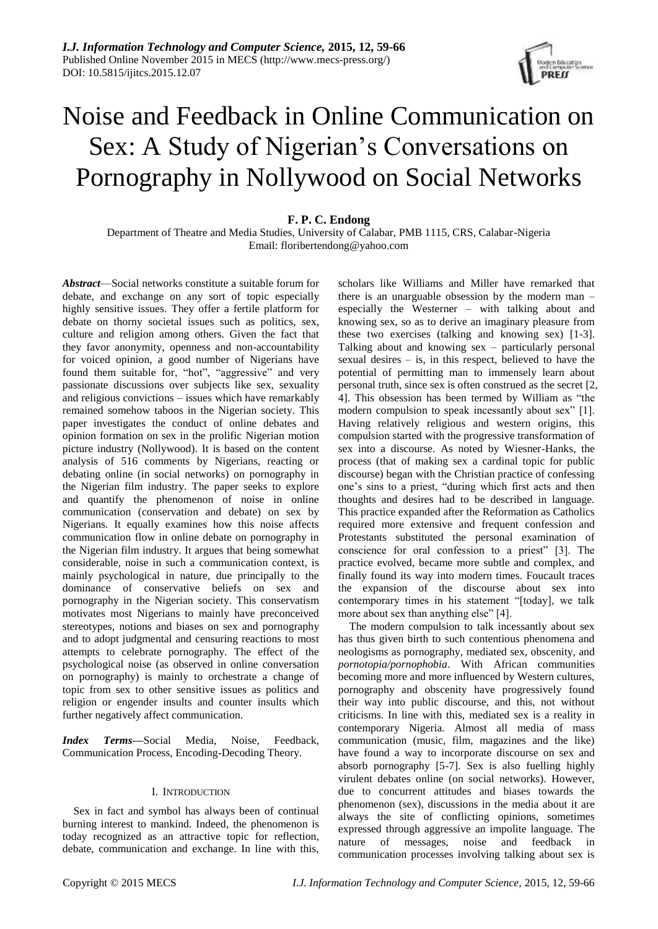

# Noise and Feedback in Online Communication on Sex: A Study of Nigerian's Conversations on Pornography in Nollywood on Social Networks

## **F. P. C. Endong**

Department of Theatre and Media Studies, University of Calabar, PMB 1115, CRS, Calabar-Nigeria Email: floribertendong@yahoo.com

*Abstract*—Social networks constitute a suitable forum for debate, and exchange on any sort of topic especially highly sensitive issues. They offer a fertile platform for debate on thorny societal issues such as politics, sex, culture and religion among others. Given the fact that they favor anonymity, openness and non-accountability for voiced opinion, a good number of Nigerians have found them suitable for, "hot", "aggressive" and very passionate discussions over subjects like sex, sexuality and religious convictions – issues which have remarkably remained somehow taboos in the Nigerian society. This paper investigates the conduct of online debates and opinion formation on sex in the prolific Nigerian motion picture industry (Nollywood). It is based on the content analysis of 516 comments by Nigerians, reacting or debating online (in social networks) on pornography in the Nigerian film industry. The paper seeks to explore and quantify the phenomenon of noise in online communication (conservation and debate) on sex by Nigerians. It equally examines how this noise affects communication flow in online debate on pornography in the Nigerian film industry. It argues that being somewhat considerable, noise in such a communication context, is mainly psychological in nature, due principally to the dominance of conservative beliefs on sex and pornography in the Nigerian society. This conservatism motivates most Nigerians to mainly have preconceived stereotypes, notions and biases on sex and pornography and to adopt judgmental and censuring reactions to most attempts to celebrate pornography. The effect of the psychological noise (as observed in online conversation on pornography) is mainly to orchestrate a change of topic from sex to other sensitive issues as politics and religion or engender insults and counter insults which further negatively affect communication.

*Index Terms***—**Social Media, Noise, Feedback, Communication Process, Encoding-Decoding Theory.

#### I. INTRODUCTION

Sex in fact and symbol has always been of continual burning interest to mankind. Indeed, the phenomenon is today recognized as an attractive topic for reflection, debate, communication and exchange. In line with this,

scholars like Williams and Miller have remarked that there is an unarguable obsession by the modern man – especially the Westerner – with talking about and knowing sex, so as to derive an imaginary pleasure from these two exercises (talking and knowing sex) [1-3]. Talking about and knowing sex – particularly personal sexual desires – is, in this respect, believed to have the potential of permitting man to immensely learn about personal truth, since sex is often construed as the secret [2, 4]. This obsession has been termed by William as "the modern compulsion to speak incessantly about sex" [1]. Having relatively religious and western origins, this compulsion started with the progressive transformation of sex into a discourse. As noted by Wiesner-Hanks, the process (that of making sex a cardinal topic for public discourse) began with the Christian practice of confessing one's sins to a priest, "during which first acts and then thoughts and desires had to be described in language. This practice expanded after the Reformation as Catholics required more extensive and frequent confession and Protestants substituted the personal examination of conscience for oral confession to a priest" [3]. The practice evolved, became more subtle and complex, and finally found its way into modern times. Foucault traces the expansion of the discourse about sex into contemporary times in his statement "[today], we talk more about sex than anything else" [4].

The modern compulsion to talk incessantly about sex has thus given birth to such contentious phenomena and neologisms as pornography, mediated sex, obscenity, and *pornotopia/pornophobia*. With African communities becoming more and more influenced by Western cultures, pornography and obscenity have progressively found their way into public discourse, and this, not without criticisms. In line with this, mediated sex is a reality in contemporary Nigeria. Almost all media of mass communication (music, film, magazines and the like) have found a way to incorporate discourse on sex and absorb pornography [5-7]. Sex is also fuelling highly virulent debates online (on social networks). However, due to concurrent attitudes and biases towards the phenomenon (sex), discussions in the media about it are always the site of conflicting opinions, sometimes expressed through aggressive an impolite language. The nature of messages, noise and feedback in communication processes involving talking about sex is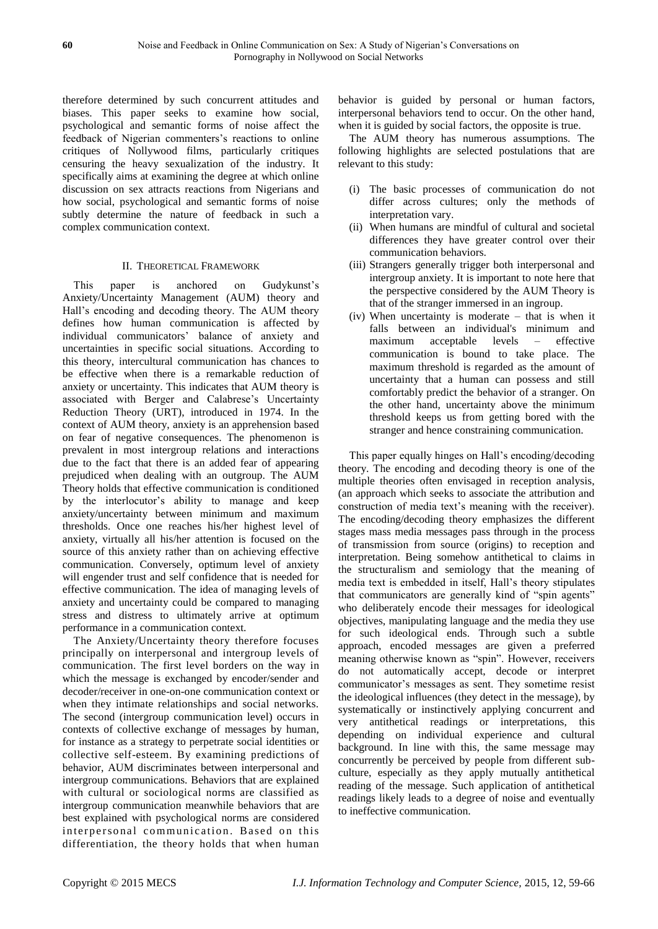therefore determined by such concurrent attitudes and biases. This paper seeks to examine how social, psychological and semantic forms of noise affect the feedback of Nigerian commenters's reactions to online critiques of Nollywood films, particularly critiques censuring the heavy sexualization of the industry. It specifically aims at examining the degree at which online discussion on sex attracts reactions from Nigerians and how social, psychological and semantic forms of noise subtly determine the nature of feedback in such a complex communication context.

### II. THEORETICAL FRAMEWORK

This paper is anchored on Gudykunst's Anxiety/Uncertainty Management (AUM) theory and Hall's encoding and decoding theory. The AUM theory defines how human communication is affected by individual communicators' balance of anxiety and uncertainties in specific social situations. According to this theory, intercultural communication has chances to be effective when there is a remarkable reduction of anxiety or uncertainty. This indicates that AUM theory is associated with Berger and Calabrese's Uncertainty Reduction Theory (URT), introduced in 1974. In the context of AUM theory, anxiety is an apprehension based on fear of negative consequences. The phenomenon is prevalent in most intergroup relations and interactions due to the fact that there is an added fear of appearing prejudiced when dealing with an outgroup. The AUM Theory holds that effective communication is conditioned by the interlocutor's ability to manage and keep anxiety/uncertainty between minimum and maximum thresholds. Once one reaches his/her highest level of anxiety, virtually all his/her attention is focused on the source of this anxiety rather than on achieving effective communication. Conversely, optimum level of anxiety will engender trust and self confidence that is needed for effective communication. The idea of managing levels of anxiety and uncertainty could be compared to managing stress and distress to ultimately arrive at optimum performance in a communication context.

The Anxiety/Uncertainty theory therefore focuses principally on interpersonal and intergroup levels of communication. The first level borders on the way in which the message is exchanged by encoder/sender and decoder/receiver in one-on-one communication context or when they intimate relationships and social networks. The second (intergroup communication level) occurs in contexts of collective exchange of messages by human, for instance as a strategy to perpetrate social identities or collective self-esteem. By examining predictions of behavior, AUM discriminates between interpersonal and intergroup communications. Behaviors that are explained with cultural or sociological norms are classified as intergroup communication meanwhile behaviors that are best explained with psychological norms are considered interpersonal communication. Based on this differentiation, the theory holds that when human

behavior is guided by personal or human factors, interpersonal behaviors tend to occur. On the other hand, when it is guided by social factors, the opposite is true.

The AUM theory has numerous assumptions. The following highlights are selected postulations that are relevant to this study:

- (i) The basic processes of communication do not differ across cultures; only the methods of interpretation vary.
- (ii) When humans are mindful of cultural and societal differences they have greater control over their communication behaviors.
- (iii) Strangers generally trigger both interpersonal and intergroup anxiety. It is important to note here that the perspective considered by the AUM Theory is that of the stranger immersed in an ingroup.
- (iv) When uncertainty is moderate that is when it falls between an individual's minimum and maximum acceptable levels – effective communication is bound to take place. The maximum threshold is regarded as the amount of uncertainty that a human can possess and still comfortably predict the behavior of a stranger. On the other hand, uncertainty above the minimum threshold keeps us from getting bored with the stranger and hence constraining communication.

This paper equally hinges on Hall's encoding/decoding theory. The encoding and decoding theory is one of the multiple theories often envisaged in reception analysis, (an approach which seeks to associate the attribution and construction of media text's meaning with the receiver). The encoding/decoding theory emphasizes the different stages mass media messages pass through in the process of transmission from source (origins) to reception and interpretation. Being somehow antithetical to claims in the structuralism and semiology that the meaning of media text is embedded in itself, Hall's theory stipulates that communicators are generally kind of "spin agents" who deliberately encode their messages for ideological objectives, manipulating language and the media they use for such ideological ends. Through such a subtle approach, encoded messages are given a preferred meaning otherwise known as "spin". However, receivers do not automatically accept, decode or interpret communicator's messages as sent. They sometime resist the ideological influences (they detect in the message), by systematically or instinctively applying concurrent and very antithetical readings or interpretations, this depending on individual experience and cultural background. In line with this, the same message may concurrently be perceived by people from different subculture, especially as they apply mutually antithetical reading of the message. Such application of antithetical readings likely leads to a degree of noise and eventually to ineffective communication.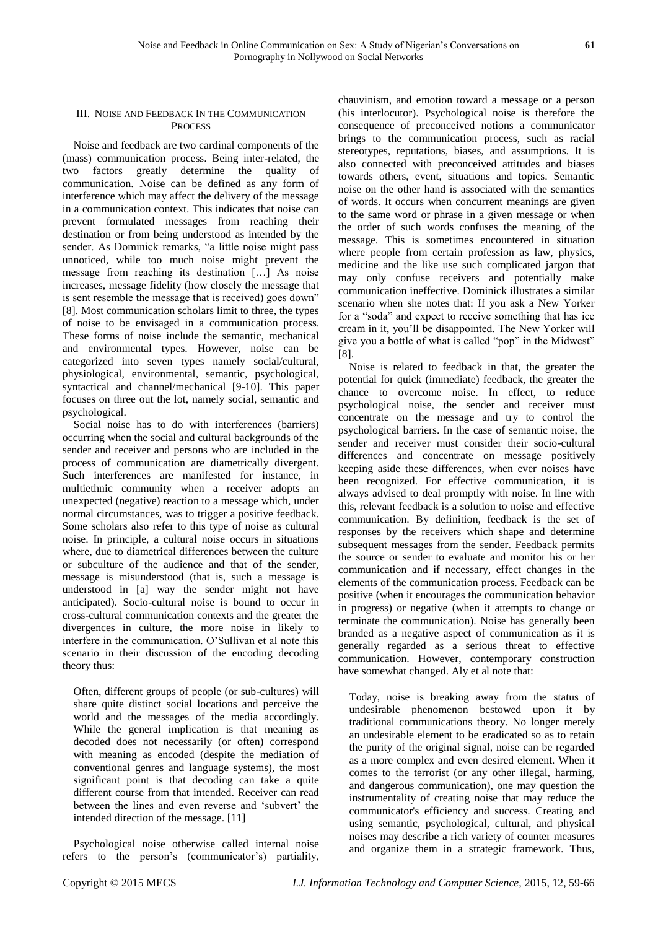#### III. NOISE AND FEEDBACK IN THE COMMUNICATION **PROCESS**

Noise and feedback are two cardinal components of the (mass) communication process. Being inter-related, the two factors greatly determine the quality of communication. Noise can be defined as any form of interference which may affect the delivery of the message in a communication context. This indicates that noise can prevent formulated messages from reaching their destination or from being understood as intended by the sender. As Dominick remarks, "a little noise might pass unnoticed, while too much noise might prevent the message from reaching its destination […] As noise increases, message fidelity (how closely the message that is sent resemble the message that is received) goes down" [8]. Most communication scholars limit to three, the types of noise to be envisaged in a communication process. These forms of noise include the semantic, mechanical and environmental types. However, noise can be categorized into seven types namely social/cultural, physiological, environmental, semantic, psychological, syntactical and channel/mechanical [9-10]. This paper focuses on three out the lot, namely social, semantic and psychological.

Social noise has to do with interferences (barriers) occurring when the social and cultural backgrounds of the sender and receiver and persons who are included in the process of communication are diametrically divergent. Such interferences are manifested for instance, in multiethnic community when a receiver adopts an unexpected (negative) reaction to a message which, under normal circumstances, was to trigger a positive feedback. Some scholars also refer to this type of noise as cultural noise. In principle, a cultural noise occurs in situations where, due to diametrical differences between the culture or subculture of the audience and that of the sender, message is misunderstood (that is, such a message is understood in [a] way the sender might not have anticipated). Socio-cultural noise is bound to occur in cross-cultural communication contexts and the greater the divergences in culture, the more noise in likely to interfere in the communication. O'Sullivan et al note this scenario in their discussion of the encoding decoding theory thus:

Often, different groups of people (or sub-cultures) will share quite distinct social locations and perceive the world and the messages of the media accordingly. While the general implication is that meaning as decoded does not necessarily (or often) correspond with meaning as encoded (despite the mediation of conventional genres and language systems), the most significant point is that decoding can take a quite different course from that intended. Receiver can read between the lines and even reverse and 'subvert' the intended direction of the message. [11]

Psychological noise otherwise called internal noise refers to the person's (communicator's) partiality,

chauvinism, and emotion toward a message or a person (his interlocutor). Psychological noise is therefore the consequence of preconceived notions a communicator brings to the communication process, such as racial stereotypes, reputations, biases, and assumptions. It is also connected with preconceived attitudes and biases towards others, event, situations and topics. Semantic noise on the other hand is associated with the semantics of words. It occurs when concurrent meanings are given to the same word or phrase in a given message or when the order of such words confuses the meaning of the message. This is sometimes encountered in situation where people from certain profession as law, physics, medicine and the like use such complicated jargon that may only confuse receivers and potentially make communication ineffective. Dominick illustrates a similar scenario when she notes that: If you ask a New Yorker for a "soda" and expect to receive something that has ice cream in it, you'll be disappointed. The New Yorker will give you a bottle of what is called "pop" in the Midwest" [8].

Noise is related to feedback in that, the greater the potential for quick (immediate) feedback, the greater the chance to overcome noise. In effect, to reduce psychological noise, the sender and receiver must concentrate on the message and try to control the psychological barriers. In the case of semantic noise, the sender and receiver must consider their socio-cultural differences and concentrate on message positively keeping aside these differences, when ever noises have been recognized. For effective communication, it is always advised to deal promptly with noise. In line with this, relevant feedback is a solution to noise and effective communication. By definition, feedback is the set of responses by the receivers which shape and determine subsequent messages from the sender. Feedback permits the source or sender to evaluate and monitor his or her communication and if necessary, effect changes in the elements of the communication process. Feedback can be positive (when it encourages the communication behavior in progress) or negative (when it attempts to change or terminate the communication). Noise has generally been branded as a negative aspect of communication as it is generally regarded as a serious threat to effective communication. However, contemporary construction have somewhat changed. Aly et al note that:

Today, noise is breaking away from the status of undesirable phenomenon bestowed upon it by traditional communications theory. No longer merely an undesirable element to be eradicated so as to retain the purity of the original signal, noise can be regarded as a more complex and even desired element. When it comes to the terrorist (or any other illegal, harming, and dangerous communication), one may question the instrumentality of creating noise that may reduce the communicator's efficiency and success. Creating and using semantic, psychological, cultural, and physical noises may describe a rich variety of counter measures and organize them in a strategic framework. Thus,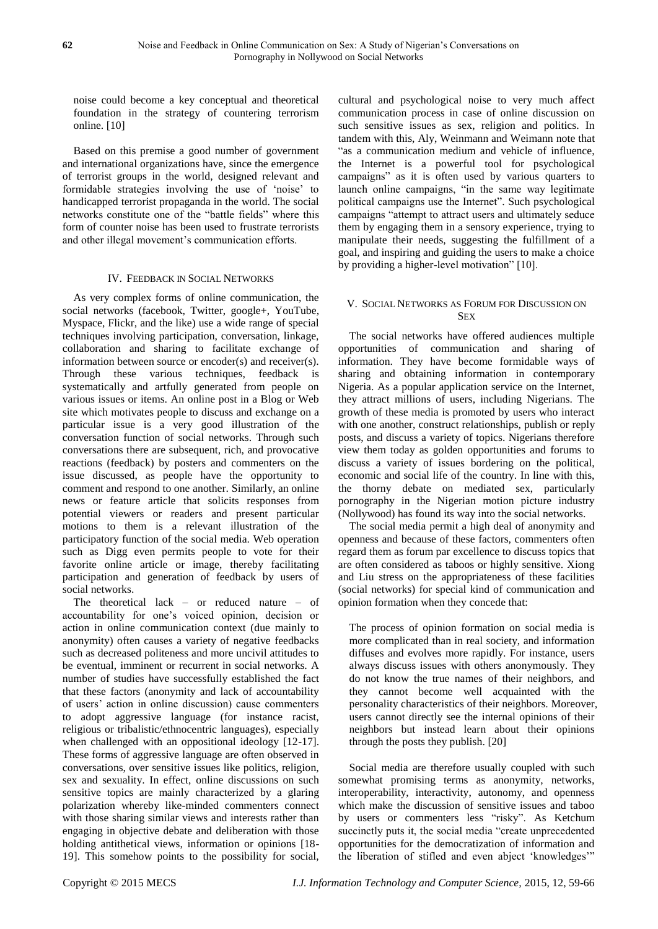noise could become a key conceptual and theoretical foundation in the strategy of countering terrorism online. [10]

Based on this premise a good number of government and international organizations have, since the emergence of terrorist groups in the world, designed relevant and formidable strategies involving the use of 'noise' to handicapped terrorist propaganda in the world. The social networks constitute one of the "battle fields" where this form of counter noise has been used to frustrate terrorists and other illegal movement's communication efforts.

#### IV. FEEDBACK IN SOCIAL NETWORKS

As very complex forms of online communication, the social networks (facebook, Twitter, google+, YouTube, Myspace, Flickr, and the like) use a wide range of special techniques involving participation, conversation, linkage, collaboration and sharing to facilitate exchange of information between source or encoder(s) and receiver(s). Through these various techniques, feedback is systematically and artfully generated from people on various issues or items. An online post in a Blog or Web site which motivates people to discuss and exchange on a particular issue is a very good illustration of the conversation function of social networks. Through such conversations there are subsequent, rich, and provocative reactions (feedback) by posters and commenters on the issue discussed, as people have the opportunity to comment and respond to one another. Similarly, an online news or feature article that solicits responses from potential viewers or readers and present particular motions to them is a relevant illustration of the participatory function of the social media. Web operation such as Digg even permits people to vote for their favorite online article or image, thereby facilitating participation and generation of feedback by users of social networks.

The theoretical lack – or reduced nature – of accountability for one's voiced opinion, decision or action in online communication context (due mainly to anonymity) often causes a variety of negative feedbacks such as decreased politeness and more uncivil attitudes to be eventual, imminent or recurrent in social networks. A number of studies have successfully established the fact that these factors (anonymity and lack of accountability of users' action in online discussion) cause commenters to adopt aggressive language (for instance racist, religious or tribalistic/ethnocentric languages), especially when challenged with an oppositional ideology [12-17]. These forms of aggressive language are often observed in conversations, over sensitive issues like politics, religion, sex and sexuality. In effect, online discussions on such sensitive topics are mainly characterized by a glaring polarization whereby like-minded commenters connect with those sharing similar views and interests rather than engaging in objective debate and deliberation with those holding antithetical views, information or opinions [18- 19]. This somehow points to the possibility for social,

cultural and psychological noise to very much affect communication process in case of online discussion on such sensitive issues as sex, religion and politics. In tandem with this, Aly, Weinmann and Weimann note that "as a communication medium and vehicle of influence, the Internet is a powerful tool for psychological campaigns" as it is often used by various quarters to launch online campaigns, "in the same way legitimate political campaigns use the Internet". Such psychological campaigns "attempt to attract users and ultimately seduce them by engaging them in a sensory experience, trying to manipulate their needs, suggesting the fulfillment of a goal, and inspiring and guiding the users to make a choice by providing a higher-level motivation" [10].

#### V. SOCIAL NETWORKS AS FORUM FOR DISCUSSION ON **SEX**

The social networks have offered audiences multiple opportunities of communication and sharing of information. They have become formidable ways of sharing and obtaining information in contemporary Nigeria. As a popular application service on the Internet, they attract millions of users, including Nigerians. The growth of these media is promoted by users who interact with one another, construct relationships, publish or reply posts, and discuss a variety of topics. Nigerians therefore view them today as golden opportunities and forums to discuss a variety of issues bordering on the political, economic and social life of the country. In line with this, the thorny debate on mediated sex, particularly pornography in the Nigerian motion picture industry (Nollywood) has found its way into the social networks.

The social media permit a high deal of anonymity and openness and because of these factors, commenters often regard them as forum par excellence to discuss topics that are often considered as taboos or highly sensitive. Xiong and Liu stress on the appropriateness of these facilities (social networks) for special kind of communication and opinion formation when they concede that:

The process of opinion formation on social media is more complicated than in real society, and information diffuses and evolves more rapidly. For instance, users always discuss issues with others anonymously. They do not know the true names of their neighbors, and they cannot become well acquainted with the personality characteristics of their neighbors. Moreover, users cannot directly see the internal opinions of their neighbors but instead learn about their opinions through the posts they publish. [20]

Social media are therefore usually coupled with such somewhat promising terms as anonymity, networks, interoperability, interactivity, autonomy, and openness which make the discussion of sensitive issues and taboo by users or commenters less "risky". As Ketchum succinctly puts it, the social media "create unprecedented opportunities for the democratization of information and the liberation of stifled and even abject 'knowledges'"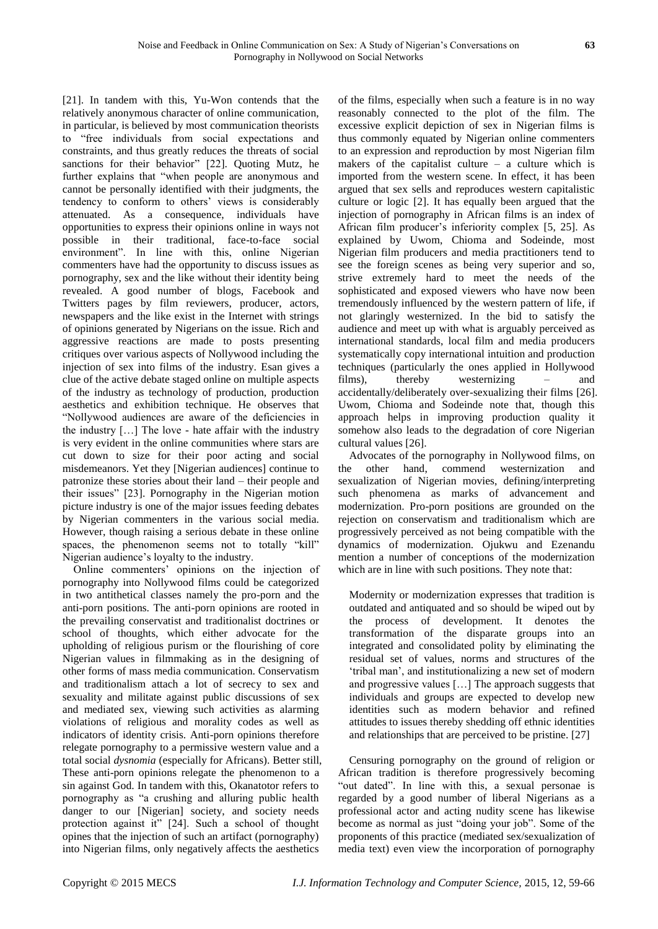[21]. In tandem with this, Yu-Won contends that the relatively anonymous character of online communication, in particular, is believed by most communication theorists to "free individuals from social expectations and constraints, and thus greatly reduces the threats of social sanctions for their behavior" [22]. Quoting Mutz, he further explains that "when people are anonymous and cannot be personally identified with their judgments, the tendency to conform to others' views is considerably attenuated. As a consequence, individuals have opportunities to express their opinions online in ways not possible in their traditional, face-to-face social environment". In line with this, online Nigerian commenters have had the opportunity to discuss issues as pornography, sex and the like without their identity being revealed. A good number of blogs, Facebook and Twitters pages by film reviewers, producer, actors, newspapers and the like exist in the Internet with strings of opinions generated by Nigerians on the issue. Rich and aggressive reactions are made to posts presenting critiques over various aspects of Nollywood including the injection of sex into films of the industry. Esan gives a clue of the active debate staged online on multiple aspects of the industry as technology of production, production aesthetics and exhibition technique. He observes that "Nollywood audiences are aware of the deficiencies in the industry […] The love - hate affair with the industry is very evident in the online communities where stars are cut down to size for their poor acting and social misdemeanors. Yet they [Nigerian audiences] continue to patronize these stories about their land – their people and their issues" [23]. Pornography in the Nigerian motion picture industry is one of the major issues feeding debates by Nigerian commenters in the various social media. However, though raising a serious debate in these online spaces, the phenomenon seems not to totally "kill" Nigerian audience's loyalty to the industry.

Online commenters' opinions on the injection of pornography into Nollywood films could be categorized in two antithetical classes namely the pro-porn and the anti-porn positions. The anti-porn opinions are rooted in the prevailing conservatist and traditionalist doctrines or school of thoughts, which either advocate for the upholding of religious purism or the flourishing of core Nigerian values in filmmaking as in the designing of other forms of mass media communication. Conservatism and traditionalism attach a lot of secrecy to sex and sexuality and militate against public discussions of sex and mediated sex, viewing such activities as alarming violations of religious and morality codes as well as indicators of identity crisis. Anti-porn opinions therefore relegate pornography to a permissive western value and a total social *dysnomia* (especially for Africans). Better still, These anti-porn opinions relegate the phenomenon to a sin against God. In tandem with this, Okanatotor refers to pornography as "a crushing and alluring public health danger to our [Nigerian] society, and society needs protection against it" [24]. Such a school of thought opines that the injection of such an artifact (pornography) into Nigerian films, only negatively affects the aesthetics

of the films, especially when such a feature is in no way reasonably connected to the plot of the film. The excessive explicit depiction of sex in Nigerian films is thus commonly equated by Nigerian online commenters to an expression and reproduction by most Nigerian film makers of the capitalist culture – a culture which is imported from the western scene. In effect, it has been argued that sex sells and reproduces western capitalistic culture or logic [2]. It has equally been argued that the injection of pornography in African films is an index of African film producer's inferiority complex [5, 25]. As explained by Uwom, Chioma and Sodeinde, most Nigerian film producers and media practitioners tend to see the foreign scenes as being very superior and so, strive extremely hard to meet the needs of the sophisticated and exposed viewers who have now been tremendously influenced by the western pattern of life, if not glaringly westernized. In the bid to satisfy the audience and meet up with what is arguably perceived as international standards, local film and media producers systematically copy international intuition and production techniques (particularly the ones applied in Hollywood films), thereby westernizing – and accidentally/deliberately over-sexualizing their films [26]. Uwom, Chioma and Sodeinde note that, though this approach helps in improving production quality it somehow also leads to the degradation of core Nigerian cultural values [26].

Advocates of the pornography in Nollywood films, on the other hand, commend westernization and sexualization of Nigerian movies, defining/interpreting such phenomena as marks of advancement and modernization. Pro-porn positions are grounded on the rejection on conservatism and traditionalism which are progressively perceived as not being compatible with the dynamics of modernization. Ojukwu and Ezenandu mention a number of conceptions of the modernization which are in line with such positions. They note that:

Modernity or modernization expresses that tradition is outdated and antiquated and so should be wiped out by the process of development. It denotes the transformation of the disparate groups into an integrated and consolidated polity by eliminating the residual set of values, norms and structures of the 'tribal man', and institutionalizing a new set of modern and progressive values […] The approach suggests that individuals and groups are expected to develop new identities such as modern behavior and refined attitudes to issues thereby shedding off ethnic identities and relationships that are perceived to be pristine. [27]

Censuring pornography on the ground of religion or African tradition is therefore progressively becoming "out dated". In line with this, a sexual personae is regarded by a good number of liberal Nigerians as a professional actor and acting nudity scene has likewise become as normal as just "doing your job". Some of the proponents of this practice (mediated sex/sexualization of media text) even view the incorporation of pornography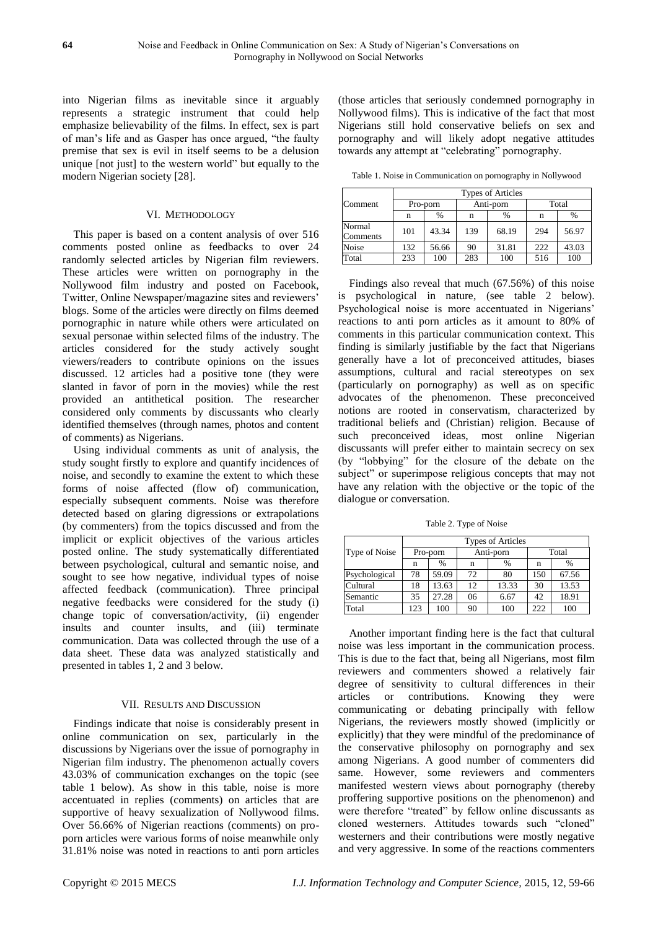into Nigerian films as inevitable since it arguably represents a strategic instrument that could help emphasize believability of the films. In effect, sex is part of man's life and as Gasper has once argued, "the faulty premise that sex is evil in itself seems to be a delusion unique [not just] to the western world" but equally to the modern Nigerian society [28].

## VI. METHODOLOGY

This paper is based on a content analysis of over 516 comments posted online as feedbacks to over 24 randomly selected articles by Nigerian film reviewers. These articles were written on pornography in the Nollywood film industry and posted on Facebook, Twitter, Online Newspaper/magazine sites and reviewers' blogs. Some of the articles were directly on films deemed pornographic in nature while others were articulated on sexual personae within selected films of the industry. The articles considered for the study actively sought viewers/readers to contribute opinions on the issues discussed. 12 articles had a positive tone (they were slanted in favor of porn in the movies) while the rest provided an antithetical position. The researcher considered only comments by discussants who clearly identified themselves (through names, photos and content of comments) as Nigerians.

Using individual comments as unit of analysis, the study sought firstly to explore and quantify incidences of noise, and secondly to examine the extent to which these forms of noise affected (flow of) communication, especially subsequent comments. Noise was therefore detected based on glaring digressions or extrapolations (by commenters) from the topics discussed and from the implicit or explicit objectives of the various articles posted online. The study systematically differentiated between psychological, cultural and semantic noise, and sought to see how negative, individual types of noise affected feedback (communication). Three principal negative feedbacks were considered for the study (i) change topic of conversation/activity, (ii) engender insults and counter insults, and (iii) terminate communication. Data was collected through the use of a data sheet. These data was analyzed statistically and presented in tables 1, 2 and 3 below.

#### VII. RESULTS AND DISCUSSION

Findings indicate that noise is considerably present in online communication on sex, particularly in the discussions by Nigerians over the issue of pornography in Nigerian film industry. The phenomenon actually covers 43.03% of communication exchanges on the topic (see table 1 below). As show in this table, noise is more accentuated in replies (comments) on articles that are supportive of heavy sexualization of Nollywood films. Over 56.66% of Nigerian reactions (comments) on proporn articles were various forms of noise meanwhile only 31.81% noise was noted in reactions to anti porn articles

(those articles that seriously condemned pornography in Nollywood films). This is indicative of the fact that most Nigerians still hold conservative beliefs on sex and pornography and will likely adopt negative attitudes towards any attempt at "celebrating" pornography.

Table 1. Noise in Communication on pornography in Nollywood

|                    | <b>Types of Articles</b> |       |           |       |       |       |  |
|--------------------|--------------------------|-------|-----------|-------|-------|-------|--|
| Comment            | Pro-porn                 |       | Anti-porn |       | Total |       |  |
|                    | n                        | $\%$  | n         | %     | n     | %     |  |
| Normal<br>Comments | 101                      | 43.34 | 139       | 68.19 | 294   | 56.97 |  |
| Noise              | 132                      | 56.66 | 90        | 31.81 | 222   | 43.03 |  |
| Total              | 233                      | 100   | 283       | 100   | 516   | 100   |  |

Findings also reveal that much (67.56%) of this noise is psychological in nature, (see table 2 below). Psychological noise is more accentuated in Nigerians' reactions to anti porn articles as it amount to 80% of comments in this particular communication context. This finding is similarly justifiable by the fact that Nigerians generally have a lot of preconceived attitudes, biases assumptions, cultural and racial stereotypes on sex (particularly on pornography) as well as on specific advocates of the phenomenon. These preconceived notions are rooted in conservatism, characterized by traditional beliefs and (Christian) religion. Because of such preconceived ideas, most online Nigerian discussants will prefer either to maintain secrecy on sex (by "lobbying" for the closure of the debate on the subject" or superimpose religious concepts that may not have any relation with the objective or the topic of the dialogue or conversation.

Table 2. Type of Noise

|               | <b>Types of Articles</b> |       |           |       |       |       |  |
|---------------|--------------------------|-------|-----------|-------|-------|-------|--|
| Type of Noise | Pro-porn                 |       | Anti-porn |       | Total |       |  |
|               | n                        | $\%$  | n         | $\%$  | n     | $\%$  |  |
| Psychological | 78                       | 59.09 | 72        | 80    | 150   | 67.56 |  |
| Cultural      | 18                       | 13.63 | 12        | 13.33 | 30    | 13.53 |  |
| Semantic      | 35                       | 27.28 | 06        | 6.67  | 42    | 18.91 |  |
| Total         | 123                      | 100   | 90        | 100   | 222   | 100   |  |

Another important finding here is the fact that cultural noise was less important in the communication process. This is due to the fact that, being all Nigerians, most film reviewers and commenters showed a relatively fair degree of sensitivity to cultural differences in their articles or contributions. Knowing they were communicating or debating principally with fellow Nigerians, the reviewers mostly showed (implicitly or explicitly) that they were mindful of the predominance of the conservative philosophy on pornography and sex among Nigerians. A good number of commenters did same. However, some reviewers and commenters manifested western views about pornography (thereby proffering supportive positions on the phenomenon) and were therefore "treated" by fellow online discussants as cloned westerners. Attitudes towards such "cloned" westerners and their contributions were mostly negative and very aggressive. In some of the reactions commenters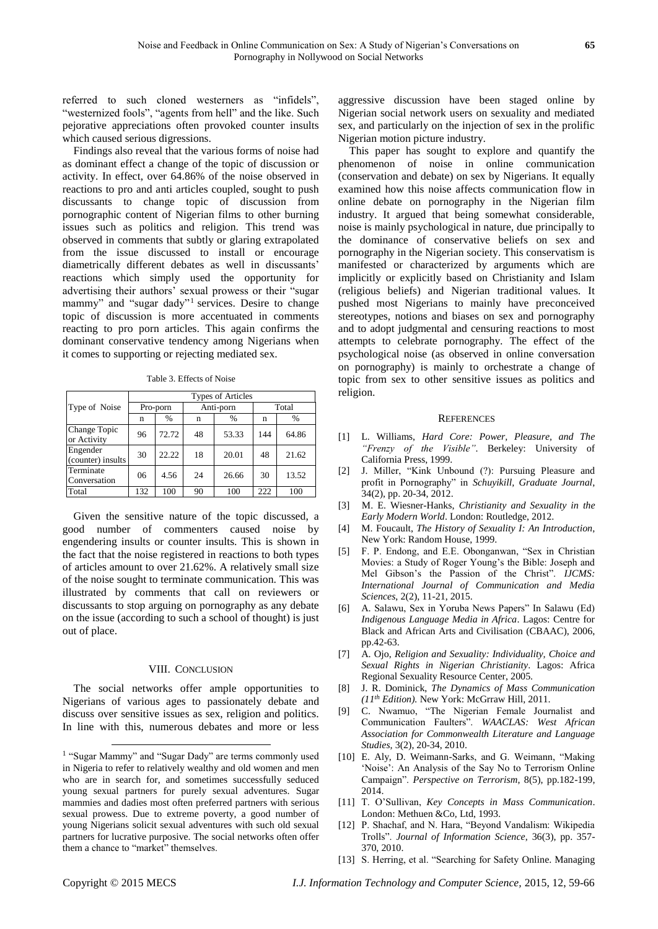referred to such cloned westerners as "infidels", "westernized fools", "agents from hell" and the like. Such pejorative appreciations often provoked counter insults which caused serious digressions.

Findings also reveal that the various forms of noise had as dominant effect a change of the topic of discussion or activity. In effect, over 64.86% of the noise observed in reactions to pro and anti articles coupled, sought to push discussants to change topic of discussion from pornographic content of Nigerian films to other burning issues such as politics and religion. This trend was observed in comments that subtly or glaring extrapolated from the issue discussed to install or encourage diametrically different debates as well in discussants' reactions which simply used the opportunity for advertising their authors' sexual prowess or their "sugar mammy" and "sugar dady"<sup>1</sup> services. Desire to change topic of discussion is more accentuated in comments reacting to pro porn articles. This again confirms the dominant conservative tendency among Nigerians when it comes to supporting or rejecting mediated sex.

Table 3. Effects of Noise

|                               | <b>Types of Articles</b> |       |           |       |       |       |  |
|-------------------------------|--------------------------|-------|-----------|-------|-------|-------|--|
| Type of Noise                 | Pro-porn                 |       | Anti-porn |       | Total |       |  |
|                               | n                        | $\%$  | n         | %     | n     | $\%$  |  |
| Change Topic<br>or Activity   | 96                       | 72.72 | 48        | 53.33 | 144   | 64.86 |  |
| Engender<br>(counter) insults | 30                       | 22.22 | 18        | 20.01 | 48    | 21.62 |  |
| Terminate<br>Conversation     | 06                       | 4.56  | 24        | 26.66 | 30    | 13.52 |  |
| Total                         | 132                      | 100   | 90        | 100   | 222   | 100   |  |

Given the sensitive nature of the topic discussed, a good number of commenters caused noise by engendering insults or counter insults. This is shown in the fact that the noise registered in reactions to both types of articles amount to over 21.62%. A relatively small size of the noise sought to terminate communication. This was illustrated by comments that call on reviewers or discussants to stop arguing on pornography as any debate on the issue (according to such a school of thought) is just out of place.

#### VIII. CONCLUSION

The social networks offer ample opportunities to Nigerians of various ages to passionately debate and discuss over sensitive issues as sex, religion and politics. In line with this, numerous debates and more or less

aggressive discussion have been staged online by Nigerian social network users on sexuality and mediated sex, and particularly on the injection of sex in the prolific Nigerian motion picture industry.

This paper has sought to explore and quantify the phenomenon of noise in online communication (conservation and debate) on sex by Nigerians. It equally examined how this noise affects communication flow in online debate on pornography in the Nigerian film industry. It argued that being somewhat considerable, noise is mainly psychological in nature, due principally to the dominance of conservative beliefs on sex and pornography in the Nigerian society. This conservatism is manifested or characterized by arguments which are implicitly or explicitly based on Christianity and Islam (religious beliefs) and Nigerian traditional values. It pushed most Nigerians to mainly have preconceived stereotypes, notions and biases on sex and pornography and to adopt judgmental and censuring reactions to most attempts to celebrate pornography. The effect of the psychological noise (as observed in online conversation on pornography) is mainly to orchestrate a change of topic from sex to other sensitive issues as politics and religion.

#### **REFERENCES**

- [1] L. Williams, *Hard Core: Power, Pleasure, and The "Frenzy of the Visible"*. Berkeley: University of California Press, 1999.
- [2] J. Miller, "Kink Unbound (?): Pursuing Pleasure and profit in Pornography" in *Schuyikill, Graduate Journal*, 34(2), pp. 20-34, 2012.
- [3] M. E. Wiesner-Hanks, *Christianity and Sexuality in the Early Modern World*. London: Routledge, 2012.
- [4] M. Foucault, *The History of Sexuality I: An Introduction*, New York: Random House, 1999.
- [5] F. P. Endong, and E.E. Obonganwan, "Sex in Christian Movies: a Study of Roger Young's the Bible: Joseph and Mel Gibson's the Passion of the Christ". *IJCMS: International Journal of Communication and Media Sciences*, 2(2), 11-21, 2015.
- [6] A. Salawu, Sex in Yoruba News Papers" In Salawu (Ed) *Indigenous Language Media in Africa*. Lagos: Centre for Black and African Arts and Civilisation (CBAAC), 2006, pp.42-63.
- [7] A. Ojo, *Religion and Sexuality: Individuality, Choice and Sexual Rights in Nigerian Christianity*. Lagos: Africa Regional Sexuality Resource Center, 2005.
- [8] J. R. Dominick, *The Dynamics of Mass Communication (11th Edition).* New York: McGrraw Hill, 2011.
- [9] C. Nwamuo, "The Nigerian Female Journalist and Communication Faulters". *WAACLAS: West African Association for Commonwealth Literature and Language Studies,* 3(2), 20-34, 2010.
- [10] E. Aly, D. Weimann-Sarks, and G. Weimann, "Making 'Noise': An Analysis of the Say No to Terrorism Online Campaign". *Perspective on Terrorism*, 8(5), pp.182-199, 2014.
- [11] T. O'Sullivan, *Key Concepts in Mass Communication*. London: Methuen &Co, Ltd, 1993.
- [12] P. Shachaf, and N. Hara, "Beyond Vandalism: Wikipedia Trolls". *Journal of Information Science*, 36(3), pp. 357- 370, 2010.
- [13] S. Herring, et al. "Searching for Safety Online. Managing

-

<sup>&</sup>lt;sup>1</sup> "Sugar Mammy" and "Sugar Dady" are terms commonly used in Nigeria to refer to relatively wealthy and old women and men who are in search for, and sometimes successfully seduced young sexual partners for purely sexual adventures. Sugar mammies and dadies most often preferred partners with serious sexual prowess. Due to extreme poverty, a good number of young Nigerians solicit sexual adventures with such old sexual partners for lucrative purposive. The social networks often offer them a chance to "market" themselves.